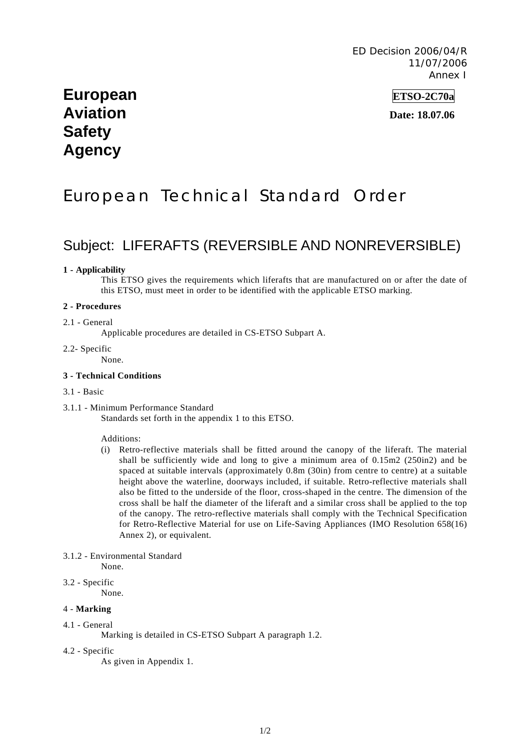ED Decision 2006/04/R 11/07/2006 Annex I

## **European ETSO-2C70a Aviation Date: 18.07.06 Safety Agency**

# European Technical Standard Order

## Subject: LIFERAFTS (REVERSIBLE AND NONREVERSIBLE)

#### **1 - Applicability**

This ETSO gives the requirements which liferafts that are manufactured on or after the date of this ETSO, must meet in order to be identified with the applicable ETSO marking.

#### **2 - Procedures**

#### 2.1 - General

Applicable procedures are detailed in CS-ETSO Subpart A.

2.2- Specific

None.

#### **3 - Technical Conditions**

#### 3.1 - Basic

3.1.1 - Minimum Performance Standard Standards set forth in the appendix 1 to this ETSO.

#### Additions:

- (i) Retro-reflective materials shall be fitted around the canopy of the liferaft. The material shall be sufficiently wide and long to give a minimum area of 0.15m2 (250in2) and be spaced at suitable intervals (approximately 0.8m (30in) from centre to centre) at a suitable height above the waterline, doorways included, if suitable. Retro-reflective materials shall also be fitted to the underside of the floor, cross-shaped in the centre. The dimension of the cross shall be half the diameter of the liferaft and a similar cross shall be applied to the top of the canopy. The retro-reflective materials shall comply with the Technical Specification for Retro-Reflective Material for use on Life-Saving Appliances (IMO Resolution 658(16) Annex 2), or equivalent.
- 3.1.2 Environmental Standard

None.

3.2 - Specific

None.

#### 4 - **Marking**

- 4.1 General
	- Marking is detailed in CS-ETSO Subpart A paragraph 1.2.
- 4.2 Specific

As given in Appendix 1.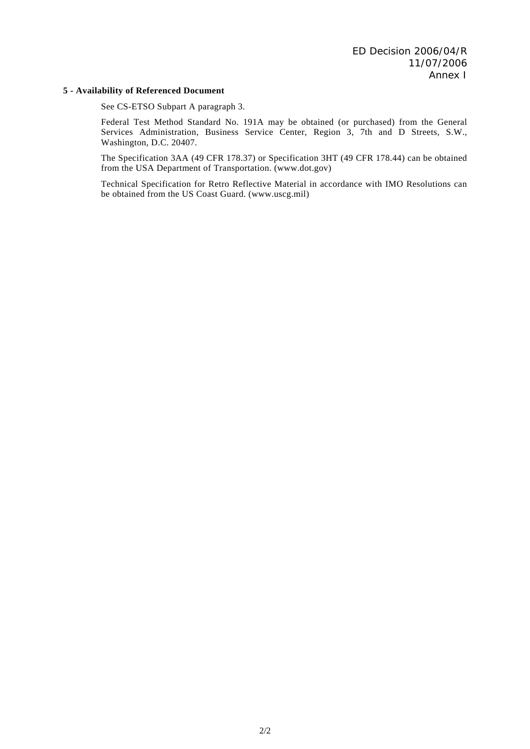#### **5 - Availability of Referenced Document**

See CS-ETSO Subpart A paragraph 3.

Federal Test Method Standard No. 191A may be obtained (or purchased) from the General Services Administration, Business Service Center, Region 3, 7th and D Streets, S.W., Washington, D.C. 20407.

The Specification 3AA (49 CFR 178.37) or Specification 3HT (49 CFR 178.44) can be obtained from the USA Department of Transportation. (www.dot.gov)

Technical Specification for Retro Reflective Material in accordance with IMO Resolutions can be obtained from the US Coast Guard. (www.uscg.mil)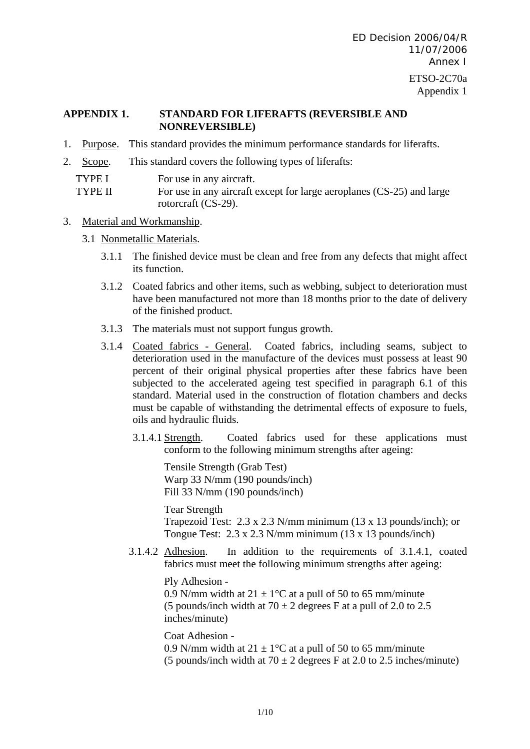### **APPENDIX 1. STANDARD FOR LIFERAFTS (REVERSIBLE AND NONREVERSIBLE)**

- 1. Purpose. This standard provides the minimum performance standards for liferafts.
- 2. Scope. This standard covers the following types of liferafts:
	- TYPE I For use in any aircraft.

```
TYPE II For use in any aircraft except for large aeroplanes (CS-25) and large
     rotorcraft (CS-29).
```
- 3. Material and Workmanship.
	- 3.1 Nonmetallic Materials.
		- 3.1.1 The finished device must be clean and free from any defects that might affect its function.
		- 3.1.2 Coated fabrics and other items, such as webbing, subject to deterioration must have been manufactured not more than 18 months prior to the date of delivery of the finished product.
		- 3.1.3 The materials must not support fungus growth.
		- 3.1.4 Coated fabrics General. Coated fabrics, including seams, subject to deterioration used in the manufacture of the devices must possess at least 90 percent of their original physical properties after these fabrics have been subjected to the accelerated ageing test specified in paragraph 6.1 of this standard. Material used in the construction of flotation chambers and decks must be capable of withstanding the detrimental effects of exposure to fuels, oils and hydraulic fluids.
			- 3.1.4.1 Strength. Coated fabrics used for these applications must conform to the following minimum strengths after ageing:

 Tensile Strength (Grab Test) Warp 33 N/mm (190 pounds/inch) Fill 33 N/mm (190 pounds/inch)

 Tear Strength Trapezoid Test: 2.3 x 2.3 N/mm minimum (13 x 13 pounds/inch); or Tongue Test: 2.3 x 2.3 N/mm minimum (13 x 13 pounds/inch)

3.1.4.2 Adhesion. In addition to the requirements of 3.1.4.1, coated fabrics must meet the following minimum strengths after ageing:

> Ply Adhesion - 0.9 N/mm width at  $21 \pm 1$ °C at a pull of 50 to 65 mm/minute (5 pounds/inch width at  $70 \pm 2$  degrees F at a pull of 2.0 to 2.5 inches/minute)

 Coat Adhesion - 0.9 N/mm width at  $21 \pm 1$ °C at a pull of 50 to 65 mm/minute (5 pounds/inch width at  $70 \pm 2$  degrees F at 2.0 to 2.5 inches/minute)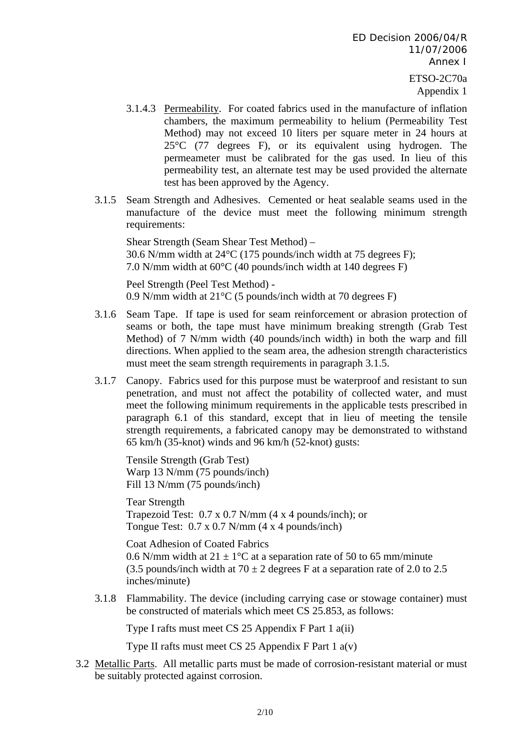ETSO-2C70a Appendix 1

- 3.1.4.3 Permeability. For coated fabrics used in the manufacture of inflation chambers, the maximum permeability to helium (Permeability Test Method) may not exceed 10 liters per square meter in 24 hours at 25°C (77 degrees F), or its equivalent using hydrogen. The permeameter must be calibrated for the gas used. In lieu of this permeability test, an alternate test may be used provided the alternate test has been approved by the Agency.
- 3.1.5 Seam Strength and Adhesives. Cemented or heat sealable seams used in the manufacture of the device must meet the following minimum strength requirements:

 Shear Strength (Seam Shear Test Method) – 30.6 N/mm width at 24°C (175 pounds/inch width at 75 degrees F); 7.0 N/mm width at 60°C (40 pounds/inch width at 140 degrees F)

 Peel Strength (Peel Test Method) - 0.9 N/mm width at 21°C (5 pounds/inch width at 70 degrees F)

- 3.1.6 Seam Tape. If tape is used for seam reinforcement or abrasion protection of seams or both, the tape must have minimum breaking strength (Grab Test Method) of 7 N/mm width (40 pounds/inch width) in both the warp and fill directions. When applied to the seam area, the adhesion strength characteristics must meet the seam strength requirements in paragraph 3.1.5.
- 3.1.7 Canopy. Fabrics used for this purpose must be waterproof and resistant to sun penetration, and must not affect the potability of collected water, and must meet the following minimum requirements in the applicable tests prescribed in paragraph 6.1 of this standard, except that in lieu of meeting the tensile strength requirements, a fabricated canopy may be demonstrated to withstand 65 km/h (35-knot) winds and 96 km/h (52-knot) gusts:

 Tensile Strength (Grab Test) Warp 13 N/mm (75 pounds/inch) Fill 13 N/mm (75 pounds/inch)

 Tear Strength Trapezoid Test: 0.7 x 0.7 N/mm (4 x 4 pounds/inch); or Tongue Test: 0.7 x 0.7 N/mm (4 x 4 pounds/inch)

 Coat Adhesion of Coated Fabrics 0.6 N/mm width at  $21 \pm 1$ °C at a separation rate of 50 to 65 mm/minute (3.5 pounds/inch width at  $70 \pm 2$  degrees F at a separation rate of 2.0 to 2.5 inches/minute)

3.1.8 Flammability. The device (including carrying case or stowage container) must be constructed of materials which meet CS 25.853, as follows:

Type I rafts must meet CS 25 Appendix F Part 1 a(ii)

Type II rafts must meet CS 25 Appendix F Part 1 a(v)

3.2 Metallic Parts. All metallic parts must be made of corrosion-resistant material or must be suitably protected against corrosion.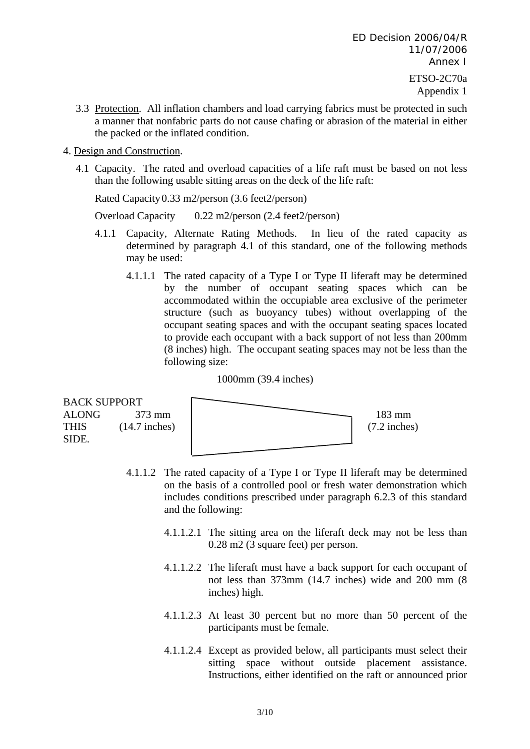- 3.3 Protection. All inflation chambers and load carrying fabrics must be protected in such a manner that nonfabric parts do not cause chafing or abrasion of the material in either the packed or the inflated condition.
- 4. Design and Construction.
	- 4.1 Capacity. The rated and overload capacities of a life raft must be based on not less than the following usable sitting areas on the deck of the life raft:

Rated Capacity 0.33 m2/person (3.6 feet2/person)

Overload Capacity 0.22 m2/person (2.4 feet2/person)

- 4.1.1 Capacity, Alternate Rating Methods. In lieu of the rated capacity as determined by paragraph 4.1 of this standard, one of the following methods may be used:
	- 4.1.1.1 The rated capacity of a Type I or Type II liferaft may be determined by the number of occupant seating spaces which can be accommodated within the occupiable area exclusive of the perimeter structure (such as buoyancy tubes) without overlapping of the occupant seating spaces and with the occupant seating spaces located to provide each occupant with a back support of not less than 200mm (8 inches) high. The occupant seating spaces may not be less than the following size:

1000mm (39.4 inches)





- 4.1.1.2 The rated capacity of a Type I or Type II liferaft may be determined on the basis of a controlled pool or fresh water demonstration which includes conditions prescribed under paragraph 6.2.3 of this standard and the following:
	- 4.1.1.2.1 The sitting area on the liferaft deck may not be less than 0.28 m2 (3 square feet) per person.
	- 4.1.1.2.2 The liferaft must have a back support for each occupant of not less than 373mm (14.7 inches) wide and 200 mm (8 inches) high.
	- 4.1.1.2.3 At least 30 percent but no more than 50 percent of the participants must be female.
	- 4.1.1.2.4 Except as provided below, all participants must select their sitting space without outside placement assistance. Instructions, either identified on the raft or announced prior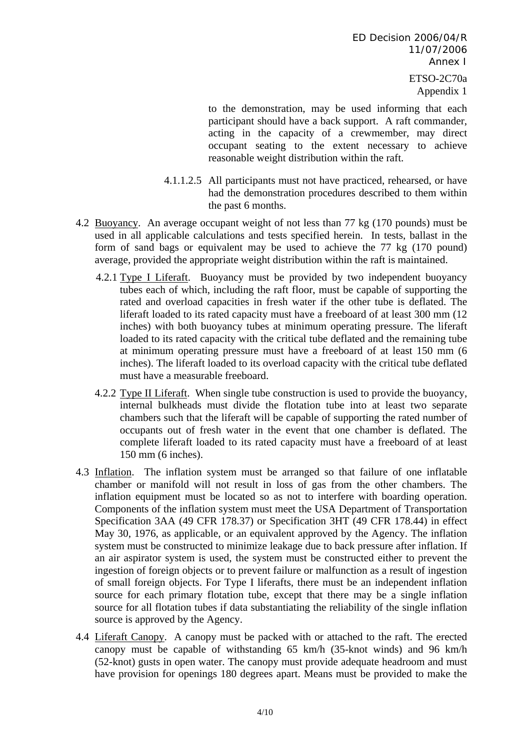ED Decision 2006/04/R 11/07/2006 Annex I ETSO-2C70a

Appendix 1

to the demonstration, may be used informing that each participant should have a back support. A raft commander, acting in the capacity of a crewmember, may direct occupant seating to the extent necessary to achieve reasonable weight distribution within the raft.

- 4.1.1.2.5 All participants must not have practiced, rehearsed, or have had the demonstration procedures described to them within the past 6 months.
- 4.2 Buoyancy. An average occupant weight of not less than 77 kg (170 pounds) must be used in all applicable calculations and tests specified herein. In tests, ballast in the form of sand bags or equivalent may be used to achieve the 77 kg (170 pound) average, provided the appropriate weight distribution within the raft is maintained.
	- 4.2.1 Type I Liferaft. Buoyancy must be provided by two independent buoyancy tubes each of which, including the raft floor, must be capable of supporting the rated and overload capacities in fresh water if the other tube is deflated. The liferaft loaded to its rated capacity must have a freeboard of at least 300 mm (12 inches) with both buoyancy tubes at minimum operating pressure. The liferaft loaded to its rated capacity with the critical tube deflated and the remaining tube at minimum operating pressure must have a freeboard of at least 150 mm (6 inches). The liferaft loaded to its overload capacity with the critical tube deflated must have a measurable freeboard.
	- 4.2.2 Type II Liferaft. When single tube construction is used to provide the buoyancy, internal bulkheads must divide the flotation tube into at least two separate chambers such that the liferaft will be capable of supporting the rated number of occupants out of fresh water in the event that one chamber is deflated. The complete liferaft loaded to its rated capacity must have a freeboard of at least 150 mm (6 inches).
- 4.3 Inflation. The inflation system must be arranged so that failure of one inflatable chamber or manifold will not result in loss of gas from the other chambers. The inflation equipment must be located so as not to interfere with boarding operation. Components of the inflation system must meet the USA Department of Transportation Specification 3AA (49 CFR 178.37) or Specification 3HT (49 CFR 178.44) in effect May 30, 1976, as applicable, or an equivalent approved by the Agency. The inflation system must be constructed to minimize leakage due to back pressure after inflation. If an air aspirator system is used, the system must be constructed either to prevent the ingestion of foreign objects or to prevent failure or malfunction as a result of ingestion of small foreign objects. For Type I liferafts, there must be an independent inflation source for each primary flotation tube, except that there may be a single inflation source for all flotation tubes if data substantiating the reliability of the single inflation source is approved by the Agency.
- 4.4 Liferaft Canopy. A canopy must be packed with or attached to the raft. The erected canopy must be capable of withstanding 65 km/h (35-knot winds) and 96 km/h (52-knot) gusts in open water. The canopy must provide adequate headroom and must have provision for openings 180 degrees apart. Means must be provided to make the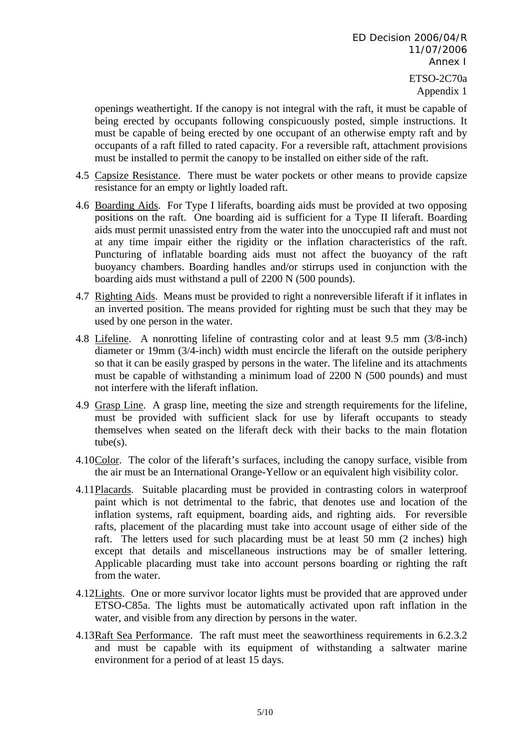Appendix 1

openings weathertight. If the canopy is not integral with the raft, it must be capable of being erected by occupants following conspicuously posted, simple instructions. It must be capable of being erected by one occupant of an otherwise empty raft and by occupants of a raft filled to rated capacity. For a reversible raft, attachment provisions must be installed to permit the canopy to be installed on either side of the raft.

- 4.5 Capsize Resistance. There must be water pockets or other means to provide capsize resistance for an empty or lightly loaded raft.
- 4.6 Boarding Aids. For Type I liferafts, boarding aids must be provided at two opposing positions on the raft. One boarding aid is sufficient for a Type II liferaft. Boarding aids must permit unassisted entry from the water into the unoccupied raft and must not at any time impair either the rigidity or the inflation characteristics of the raft. Puncturing of inflatable boarding aids must not affect the buoyancy of the raft buoyancy chambers. Boarding handles and/or stirrups used in conjunction with the boarding aids must withstand a pull of 2200 N (500 pounds).
- 4.7 Righting Aids. Means must be provided to right a nonreversible liferaft if it inflates in an inverted position. The means provided for righting must be such that they may be used by one person in the water.
- 4.8 Lifeline. A nonrotting lifeline of contrasting color and at least 9.5 mm (3/8-inch) diameter or 19mm (3/4-inch) width must encircle the liferaft on the outside periphery so that it can be easily grasped by persons in the water. The lifeline and its attachments must be capable of withstanding a minimum load of 2200 N (500 pounds) and must not interfere with the liferaft inflation.
- 4.9 Grasp Line. A grasp line, meeting the size and strength requirements for the lifeline, must be provided with sufficient slack for use by liferaft occupants to steady themselves when seated on the liferaft deck with their backs to the main flotation  $tube(s)$ .
- 4.10 Color. The color of the liferaft's surfaces, including the canopy surface, visible from the air must be an International Orange-Yellow or an equivalent high visibility color.
- 4.11 Placards. Suitable placarding must be provided in contrasting colors in waterproof paint which is not detrimental to the fabric, that denotes use and location of the inflation systems, raft equipment, boarding aids, and righting aids. For reversible rafts, placement of the placarding must take into account usage of either side of the raft. The letters used for such placarding must be at least 50 mm (2 inches) high except that details and miscellaneous instructions may be of smaller lettering. Applicable placarding must take into account persons boarding or righting the raft from the water.
- 4.12 Lights. One or more survivor locator lights must be provided that are approved under ETSO-C85a. The lights must be automatically activated upon raft inflation in the water, and visible from any direction by persons in the water.
- 4.13 Raft Sea Performance. The raft must meet the seaworthiness requirements in 6.2.3.2 and must be capable with its equipment of withstanding a saltwater marine environment for a period of at least 15 days.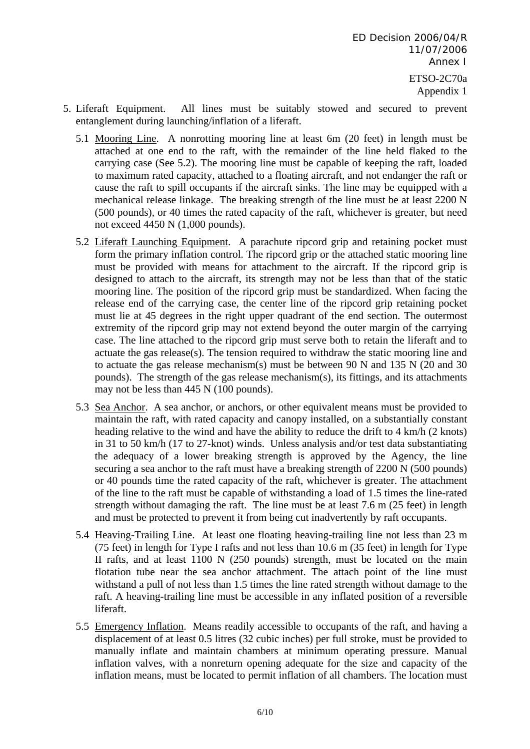- 5. Liferaft Equipment. All lines must be suitably stowed and secured to prevent entanglement during launching/inflation of a liferaft.
	- 5.1 Mooring Line. A nonrotting mooring line at least 6m (20 feet) in length must be attached at one end to the raft, with the remainder of the line held flaked to the carrying case (See 5.2). The mooring line must be capable of keeping the raft, loaded to maximum rated capacity, attached to a floating aircraft, and not endanger the raft or cause the raft to spill occupants if the aircraft sinks. The line may be equipped with a mechanical release linkage. The breaking strength of the line must be at least 2200 N (500 pounds), or 40 times the rated capacity of the raft, whichever is greater, but need not exceed 4450 N (1,000 pounds).
	- 5.2 Liferaft Launching Equipment. A parachute ripcord grip and retaining pocket must form the primary inflation control. The ripcord grip or the attached static mooring line must be provided with means for attachment to the aircraft. If the ripcord grip is designed to attach to the aircraft, its strength may not be less than that of the static mooring line. The position of the ripcord grip must be standardized. When facing the release end of the carrying case, the center line of the ripcord grip retaining pocket must lie at 45 degrees in the right upper quadrant of the end section. The outermost extremity of the ripcord grip may not extend beyond the outer margin of the carrying case. The line attached to the ripcord grip must serve both to retain the liferaft and to actuate the gas release(s). The tension required to withdraw the static mooring line and to actuate the gas release mechanism(s) must be between 90 N and 135 N (20 and 30 pounds). The strength of the gas release mechanism(s), its fittings, and its attachments may not be less than 445 N (100 pounds).
	- 5.3 Sea Anchor. A sea anchor, or anchors, or other equivalent means must be provided to maintain the raft, with rated capacity and canopy installed, on a substantially constant heading relative to the wind and have the ability to reduce the drift to 4 km/h (2 knots) in 31 to 50 km/h (17 to 27-knot) winds. Unless analysis and/or test data substantiating the adequacy of a lower breaking strength is approved by the Agency, the line securing a sea anchor to the raft must have a breaking strength of 2200 N (500 pounds) or 40 pounds time the rated capacity of the raft, whichever is greater. The attachment of the line to the raft must be capable of withstanding a load of 1.5 times the line-rated strength without damaging the raft. The line must be at least 7.6 m (25 feet) in length and must be protected to prevent it from being cut inadvertently by raft occupants.
	- 5.4 Heaving-Trailing Line. At least one floating heaving-trailing line not less than 23 m (75 feet) in length for Type I rafts and not less than 10.6 m (35 feet) in length for Type II rafts, and at least 1100 N (250 pounds) strength, must be located on the main flotation tube near the sea anchor attachment. The attach point of the line must withstand a pull of not less than 1.5 times the line rated strength without damage to the raft. A heaving-trailing line must be accessible in any inflated position of a reversible liferaft.
	- 5.5 Emergency Inflation. Means readily accessible to occupants of the raft, and having a displacement of at least 0.5 litres (32 cubic inches) per full stroke, must be provided to manually inflate and maintain chambers at minimum operating pressure. Manual inflation valves, with a nonreturn opening adequate for the size and capacity of the inflation means, must be located to permit inflation of all chambers. The location must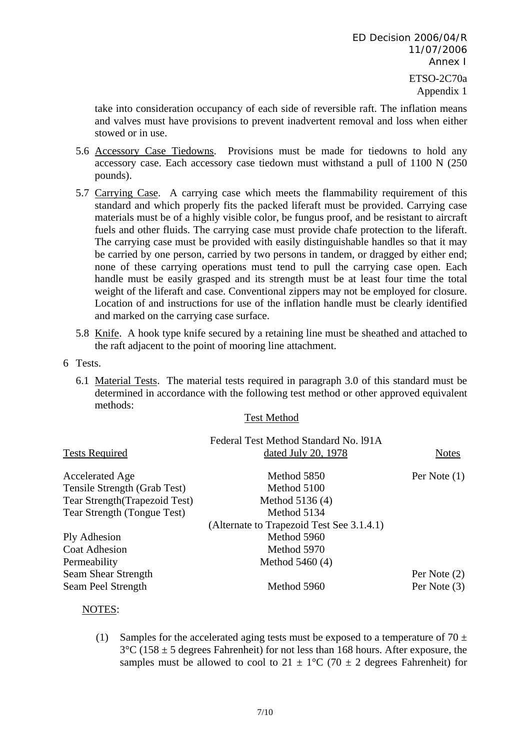take into consideration occupancy of each side of reversible raft. The inflation means and valves must have provisions to prevent inadvertent removal and loss when either stowed or in use.

- 5.6 Accessory Case Tiedowns. Provisions must be made for tiedowns to hold any accessory case. Each accessory case tiedown must withstand a pull of 1100 N (250 pounds).
- 5.7 Carrying Case. A carrying case which meets the flammability requirement of this standard and which properly fits the packed liferaft must be provided. Carrying case materials must be of a highly visible color, be fungus proof, and be resistant to aircraft fuels and other fluids. The carrying case must provide chafe protection to the liferaft. The carrying case must be provided with easily distinguishable handles so that it may be carried by one person, carried by two persons in tandem, or dragged by either end; none of these carrying operations must tend to pull the carrying case open. Each handle must be easily grasped and its strength must be at least four time the total weight of the liferaft and case. Conventional zippers may not be employed for closure. Location of and instructions for use of the inflation handle must be clearly identified and marked on the carrying case surface.
- 5.8 Knife. A hook type knife secured by a retaining line must be sheathed and attached to the raft adjacent to the point of mooring line attachment.
- 6 Tests.
	- 6.1 Material Tests. The material tests required in paragraph 3.0 of this standard must be determined in accordance with the following test method or other approved equivalent methods:

Test Method

| <b>Tests Required</b>          | Federal Test Method Standard No. 191A<br>dated July 20, 1978 | <b>Notes</b>   |
|--------------------------------|--------------------------------------------------------------|----------------|
| <b>Accelerated Age</b>         | Method 5850                                                  | Per Note $(1)$ |
| Tensile Strength (Grab Test)   | Method 5100                                                  |                |
| Tear Strength (Trapezoid Test) | Method 5136 (4)                                              |                |
| Tear Strength (Tongue Test)    | Method 5134                                                  |                |
|                                | (Alternate to Trapezoid Test See 3.1.4.1)                    |                |
| Ply Adhesion                   | Method 5960                                                  |                |
| <b>Coat Adhesion</b>           | Method 5970                                                  |                |
| Permeability                   | Method 5460 (4)                                              |                |
| Seam Shear Strength            |                                                              | Per Note $(2)$ |
| Seam Peel Strength             | Method 5960                                                  | Per Note $(3)$ |

### NOTES:

(1) Samples for the accelerated aging tests must be exposed to a temperature of  $70 \pm$  $3^{\circ}$ C (158  $\pm$  5 degrees Fahrenheit) for not less than 168 hours. After exposure, the samples must be allowed to cool to  $21 \pm 1$ °C (70  $\pm$  2 degrees Fahrenheit) for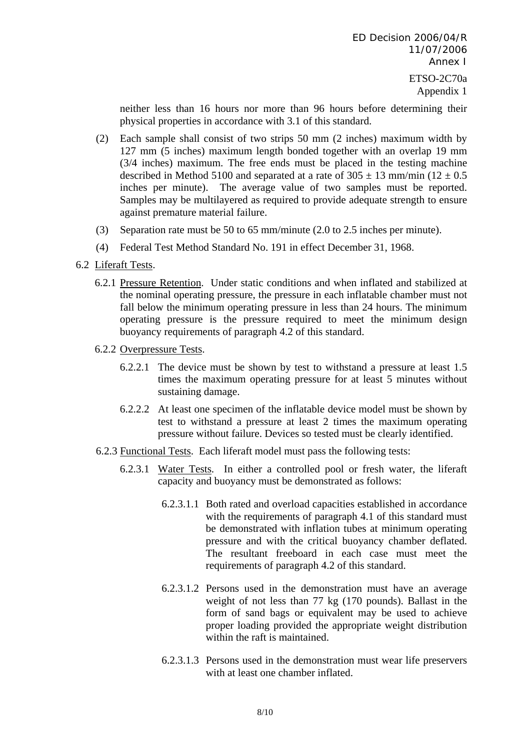Appendix 1

neither less than 16 hours nor more than 96 hours before determining their physical properties in accordance with 3.1 of this standard.

- (2) Each sample shall consist of two strips 50 mm (2 inches) maximum width by 127 mm (5 inches) maximum length bonded together with an overlap 19 mm (3/4 inches) maximum. The free ends must be placed in the testing machine described in Method 5100 and separated at a rate of  $305 \pm 13$  mm/min (12  $\pm$  0.5) inches per minute). The average value of two samples must be reported. Samples may be multilayered as required to provide adequate strength to ensure against premature material failure.
- (3) Separation rate must be 50 to 65 mm/minute (2.0 to 2.5 inches per minute).
- (4) Federal Test Method Standard No. 191 in effect December 31, 1968.
- 6.2 Liferaft Tests.
	- 6.2.1 Pressure Retention. Under static conditions and when inflated and stabilized at the nominal operating pressure, the pressure in each inflatable chamber must not fall below the minimum operating pressure in less than 24 hours. The minimum operating pressure is the pressure required to meet the minimum design buoyancy requirements of paragraph 4.2 of this standard.
	- 6.2.2 Overpressure Tests.
		- 6.2.2.1 The device must be shown by test to withstand a pressure at least 1.5 times the maximum operating pressure for at least 5 minutes without sustaining damage.
		- 6.2.2.2 At least one specimen of the inflatable device model must be shown by test to withstand a pressure at least 2 times the maximum operating pressure without failure. Devices so tested must be clearly identified.
	- 6.2.3 Functional Tests. Each liferaft model must pass the following tests:
		- 6.2.3.1 Water Tests. In either a controlled pool or fresh water, the liferaft capacity and buoyancy must be demonstrated as follows:
			- 6.2.3.1.1 Both rated and overload capacities established in accordance with the requirements of paragraph 4.1 of this standard must be demonstrated with inflation tubes at minimum operating pressure and with the critical buoyancy chamber deflated. The resultant freeboard in each case must meet the requirements of paragraph 4.2 of this standard.
			- 6.2.3.1.2 Persons used in the demonstration must have an average weight of not less than 77 kg (170 pounds). Ballast in the form of sand bags or equivalent may be used to achieve proper loading provided the appropriate weight distribution within the raft is maintained.
			- 6.2.3.1.3 Persons used in the demonstration must wear life preservers with at least one chamber inflated.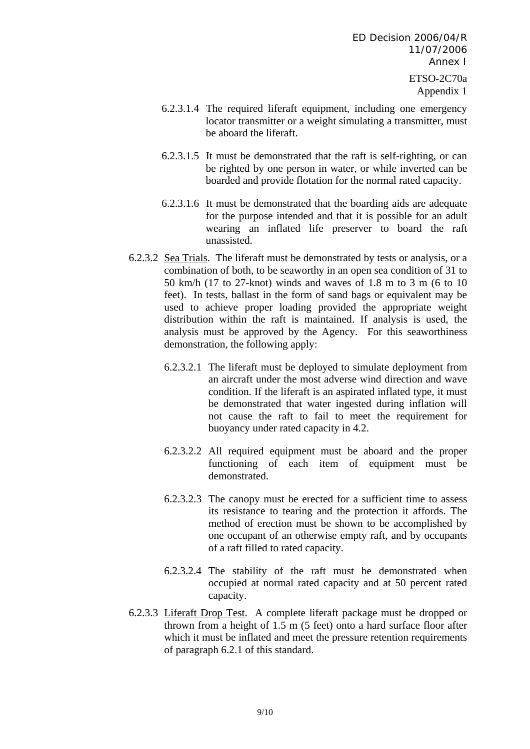- 6.2.3.1.4 The required liferaft equipment, including one emergency locator transmitter or a weight simulating a transmitter, must be aboard the liferaft.
- 6.2.3.1.5 It must be demonstrated that the raft is self-righting, or can be righted by one person in water, or while inverted can be boarded and provide flotation for the normal rated capacity.
- 6.2.3.1.6 It must be demonstrated that the boarding aids are adequate for the purpose intended and that it is possible for an adult wearing an inflated life preserver to board the raft unassisted.
- 6.2.3.2 Sea Trials. The liferaft must be demonstrated by tests or analysis, or a combination of both, to be seaworthy in an open sea condition of 31 to 50 km/h (17 to 27-knot) winds and waves of 1.8 m to 3 m (6 to 10 feet). In tests, ballast in the form of sand bags or equivalent may be used to achieve proper loading provided the appropriate weight distribution within the raft is maintained. If analysis is used, the analysis must be approved by the Agency. For this seaworthiness demonstration, the following apply:
	- 6.2.3.2.1 The liferaft must be deployed to simulate deployment from an aircraft under the most adverse wind direction and wave condition. If the liferaft is an aspirated inflated type, it must be demonstrated that water ingested during inflation will not cause the raft to fail to meet the requirement for buoyancy under rated capacity in 4.2.
	- 6.2.3.2.2 All required equipment must be aboard and the proper functioning of each item of equipment must be demonstrated.
	- 6.2.3.2.3 The canopy must be erected for a sufficient time to assess its resistance to tearing and the protection it affords. The method of erection must be shown to be accomplished by one occupant of an otherwise empty raft, and by occupants of a raft filled to rated capacity.
	- 6.2.3.2.4 The stability of the raft must be demonstrated when occupied at normal rated capacity and at 50 percent rated capacity.
- 6.2.3.3 Liferaft Drop Test. A complete liferaft package must be dropped or thrown from a height of 1.5 m (5 feet) onto a hard surface floor after which it must be inflated and meet the pressure retention requirements of paragraph 6.2.1 of this standard.